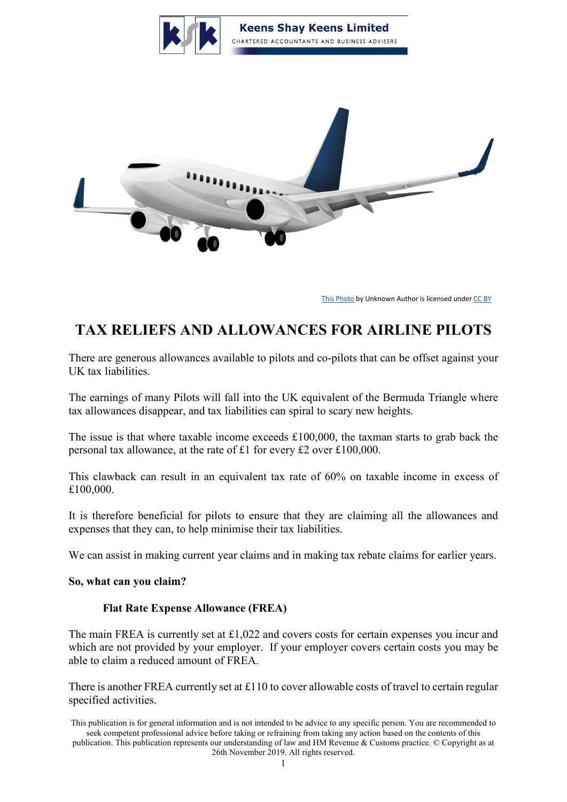



[This Photo](http://xfaststyle.deviantart.com/art/AirPlane-198280783) by Unknown Author is licensed unde[r CC BY](https://creativecommons.org/licenses/by/3.0/)

# **TAX RELIEFS AND ALLOWANCES FOR AIRLINE PILOTS**

There are generous allowances available to pilots and co-pilots that can be offset against your UK tax liabilities.

The earnings of many Pilots will fall into the UK equivalent of the Bermuda Triangle where tax allowances disappear, and tax liabilities can spiral to scary new heights.

The issue is that where taxable income exceeds £100,000, the taxman starts to grab back the personal tax allowance, at the rate of £1 for every £2 over £100,000.

This clawback can result in an equivalent tax rate of 60% on taxable income in excess of £100,000.

It is therefore beneficial for pilots to ensure that they are claiming all the allowances and expenses that they can, to help minimise their tax liabilities.

We can assist in making current year claims and in making tax rebate claims for earlier years.

### **So, what can you claim?**

### **Flat Rate Expense Allowance (FREA)**

The main FREA is currently set at £1,022 and covers costs for certain expenses you incur and which are not provided by your employer. If your employer covers certain costs you may be able to claim a reduced amount of FREA.

There is another FREA currently set at £110 to cover allowable costs of travel to certain regular specified activities.

This publication is for general information and is not intended to be advice to any specific person. You are recommended to seek competent professional advice before taking or refraining from taking any action based on the contents of this publication. This publication represents our understanding of law and HM Revenue & Customs practice. © Copyright as at 26th November 2019. All rights reserved.